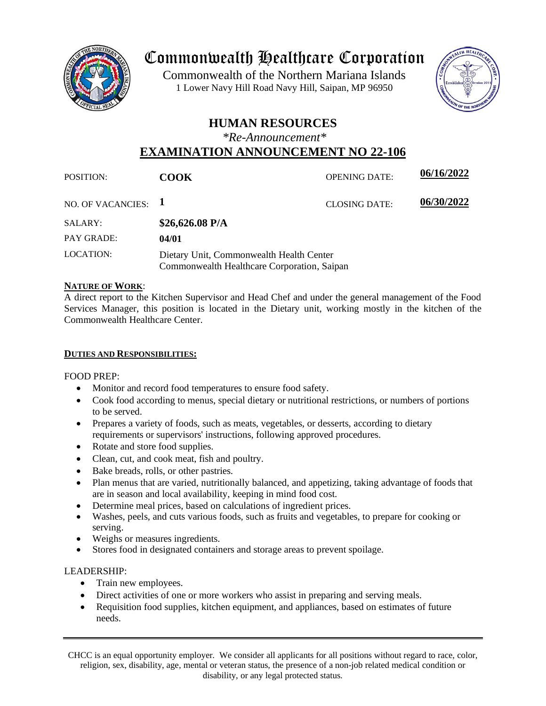

# Commonwealth Healthcare Corporation

 1 Lower Navy Hill Road Navy Hill, Saipan, MP 96950Commonwealth of the Northern Mariana Islands



# **HUMAN RESOURCES**

*\*Re-Announcement\**

# **EXAMINATION ANNOUNCEMENT NO 22-106**

| <b>POSITION:</b>      | <b>COOK</b>                                                                             | <b>OPENING DATE:</b> | 06/16/2022 |
|-----------------------|-----------------------------------------------------------------------------------------|----------------------|------------|
| NO. OF VACANCIES: $1$ |                                                                                         | <b>CLOSING DATE:</b> | 06/30/2022 |
| SALARY:               | $$26,626.08$ P/A                                                                        |                      |            |
| <b>PAY GRADE:</b>     | 04/01                                                                                   |                      |            |
| <b>LOCATION:</b>      | Dietary Unit, Commonwealth Health Center<br>Commonwealth Healthcare Corporation, Saipan |                      |            |

# **NATURE OF WORK**:

A direct report to the Kitchen Supervisor and Head Chef and under the general management of the Food Services Manager, this position is located in the Dietary unit, working mostly in the kitchen of the Commonwealth Healthcare Center.

# **DUTIES AND RESPONSIBILITIES:**

FOOD PREP:

- Monitor and record food temperatures to ensure food safety.
- Cook food according to menus, special dietary or nutritional restrictions, or numbers of portions to be served.
- Prepares a variety of foods, such as meats, vegetables, or desserts, according to dietary requirements or supervisors' instructions, following approved procedures.
- Rotate and store food supplies.
- Clean, cut, and cook meat, fish and poultry.
- Bake breads, rolls, or other pastries.
- Plan menus that are varied, nutritionally balanced, and appetizing, taking advantage of foods that are in season and local availability, keeping in mind food cost.
- Determine meal prices, based on calculations of ingredient prices.
- Washes, peels, and cuts various foods, such as fruits and vegetables, to prepare for cooking or serving.
- Weighs or measures ingredients.
- Stores food in designated containers and storage areas to prevent spoilage.

# LEADERSHIP:

- Train new employees.
- Direct activities of one or more workers who assist in preparing and serving meals.
- Requisition food supplies, kitchen equipment, and appliances, based on estimates of future needs.

CHCC is an equal opportunity employer. We consider all applicants for all positions without regard to race, color, religion, sex, disability, age, mental or veteran status, the presence of a non-job related medical condition or disability, or any legal protected status.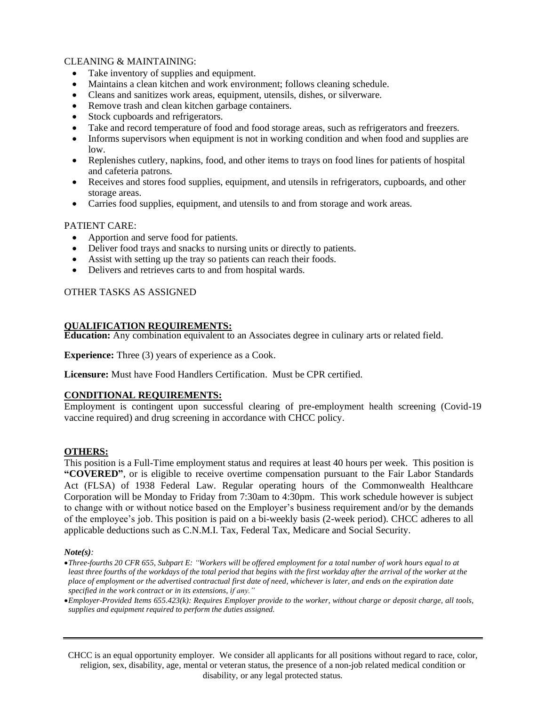## CLEANING & MAINTAINING:

- Take inventory of supplies and equipment.
- Maintains a clean kitchen and work environment; follows cleaning schedule.
- Cleans and sanitizes work areas, equipment, utensils, dishes, or silverware.
- Remove trash and clean kitchen garbage containers.
- Stock cupboards and refrigerators.
- Take and record temperature of food and food storage areas, such as refrigerators and freezers.
- Informs supervisors when equipment is not in working condition and when food and supplies are low.
- Replenishes cutlery, napkins, food, and other items to trays on food lines for patients of hospital and cafeteria patrons.
- Receives and stores food supplies, equipment, and utensils in refrigerators, cupboards, and other storage areas.
- Carries food supplies, equipment, and utensils to and from storage and work areas.

#### PATIENT CARE:

- Apportion and serve food for patients.
- Deliver food trays and snacks to nursing units or directly to patients.
- Assist with setting up the tray so patients can reach their foods.
- Delivers and retrieves carts to and from hospital wards.

## OTHER TASKS AS ASSIGNED

#### **QUALIFICATION REQUIREMENTS:**

**Education:** Any combination equivalent to an Associates degree in culinary arts or related field.

**Experience:** Three (3) years of experience as a Cook.

**Licensure:** Must have Food Handlers Certification. Must be CPR certified.

#### **CONDITIONAL REQUIREMENTS:**

Employment is contingent upon successful clearing of pre-employment health screening (Covid-19 vaccine required) and drug screening in accordance with CHCC policy.

#### **OTHERS:**

This position is a Full-Time employment status and requires at least 40 hours per week. This position is **"COVERED"**, or is eligible to receive overtime compensation pursuant to the Fair Labor Standards Act (FLSA) of 1938 Federal Law. Regular operating hours of the Commonwealth Healthcare Corporation will be Monday to Friday from 7:30am to 4:30pm. This work schedule however is subject to change with or without notice based on the Employer's business requirement and/or by the demands of the employee's job. This position is paid on a bi-weekly basis (2-week period). CHCC adheres to all applicable deductions such as C.N.M.I. Tax, Federal Tax, Medicare and Social Security.

#### *Note(s):*

•*Three-fourths 20 CFR 655, Subpart E: "Workers will be offered employment for a total number of work hours equal to at least three fourths of the workdays of the total period that begins with the first workday after the arrival of the worker at the place of employment or the advertised contractual first date of need, whichever is later, and ends on the expiration date specified in the work contract or in its extensions, if any."*

•*Employer-Provided Items 655.423(k): Requires Employer provide to the worker, without charge or deposit charge, all tools, supplies and equipment required to perform the duties assigned.* 

CHCC is an equal opportunity employer. We consider all applicants for all positions without regard to race, color, religion, sex, disability, age, mental or veteran status, the presence of a non-job related medical condition or disability, or any legal protected status.